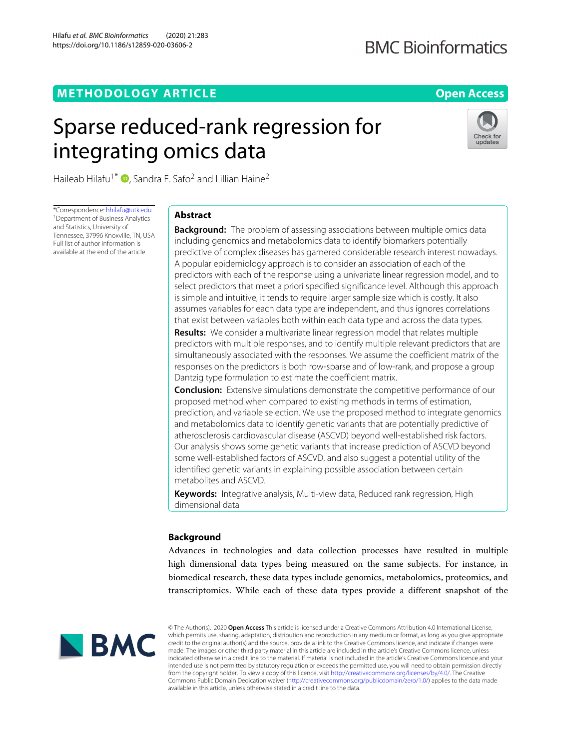## **METHODOLOGY ARTICLE Open Access**

## **BMC Bioinformatics**

# Sparse reduced-rank regression for integrating omics data



Haileab Hilafu<sup>1\*</sup>  $\bullet$ [,](http://orcid.org/0000-0001-6208-1932) Sandra E. Safo<sup>2</sup> and Lillian Haine<sup>2</sup>

\*Correspondence: [hhilafu@utk.edu](mailto: hhilafu@utk.edu) <sup>1</sup> Department of Business Analytics and Statistics, University of Tennessee, 37996 Knoxville, TN, USA Full list of author information is available at the end of the article

## **Abstract**

**Background:** The problem of assessing associations between multiple omics data including genomics and metabolomics data to identify biomarkers potentially predictive of complex diseases has garnered considerable research interest nowadays. A popular epidemiology approach is to consider an association of each of the predictors with each of the response using a univariate linear regression model, and to select predictors that meet a priori specified significance level. Although this approach is simple and intuitive, it tends to require larger sample size which is costly. It also assumes variables for each data type are independent, and thus ignores correlations that exist between variables both within each data type and across the data types.

**Results:** We consider a multivariate linear regression model that relates multiple predictors with multiple responses, and to identify multiple relevant predictors that are simultaneously associated with the responses. We assume the coefficient matrix of the responses on the predictors is both row-sparse and of low-rank, and propose a group Dantzig type formulation to estimate the coefficient matrix.

**Conclusion:** Extensive simulations demonstrate the competitive performance of our proposed method when compared to existing methods in terms of estimation, prediction, and variable selection. We use the proposed method to integrate genomics and metabolomics data to identify genetic variants that are potentially predictive of atherosclerosis cardiovascular disease (ASCVD) beyond well-established risk factors. Our analysis shows some genetic variants that increase prediction of ASCVD beyond some well-established factors of ASCVD, and also suggest a potential utility of the identified genetic variants in explaining possible association between certain metabolites and ASCVD.

**Keywords:** Integrative analysis, Multi-view data, Reduced rank regression, High dimensional data

## **Background**

Advances in technologies and data collection processes have resulted in multiple high dimensional data types being measured on the same subjects. For instance, in biomedical research, these data types include genomics, metabolomics, proteomics, and transcriptomics. While each of these data types provide a different snapshot of the



© The Author(s). 2020 **Open Access** This article is licensed under a Creative Commons Attribution 4.0 International License, which permits use, sharing, adaptation, distribution and reproduction in any medium or format, as long as you give appropriate credit to the original author(s) and the source, provide a link to the Creative Commons licence, and indicate if changes were made. The images or other third party material in this article are included in the article's Creative Commons licence, unless indicated otherwise in a credit line to the material. If material is not included in the article's Creative Commons licence and your intended use is not permitted by statutory regulation or exceeds the permitted use, you will need to obtain permission directly from the copyright holder. To view a copy of this licence, visit [http://creativecommons.org/licenses/by/4.0/.](http://creativecommons.org/licenses/by/4.0/) The Creative Commons Public Domain Dedication waiver [\(http://creativecommons.org/publicdomain/zero/1.0/\)](http://creativecommons.org/publicdomain/zero/1.0/) applies to the data made available in this article, unless otherwise stated in a credit line to the data.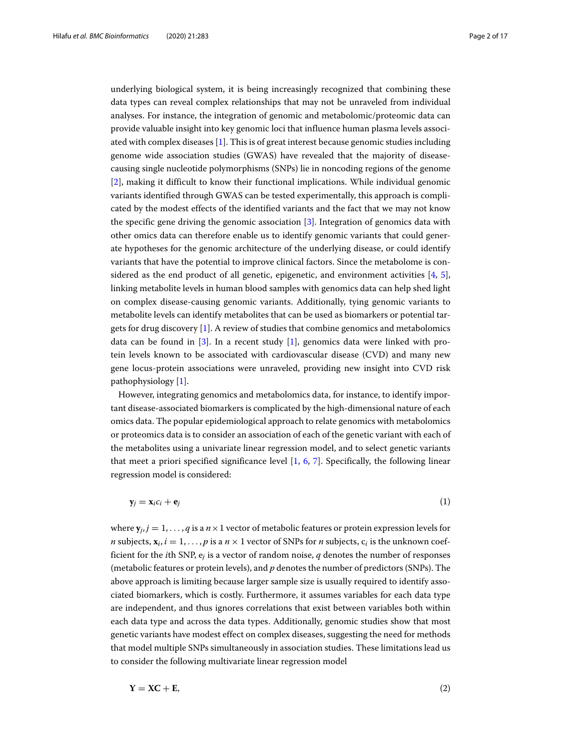underlying biological system, it is being increasingly recognized that combining these data types can reveal complex relationships that may not be unraveled from individual analyses. For instance, the integration of genomic and metabolomic/proteomic data can provide valuable insight into key genomic loci that influence human plasma levels associated with complex diseases [\[1\]](#page-14-0). This is of great interest because genomic studies including genome wide association studies (GWAS) have revealed that the majority of diseasecausing single nucleotide polymorphisms (SNPs) lie in noncoding regions of the genome [\[2\]](#page-15-0), making it difficult to know their functional implications. While individual genomic variants identified through GWAS can be tested experimentally, this approach is complicated by the modest effects of the identified variants and the fact that we may not know the specific gene driving the genomic association [\[3\]](#page-15-1). Integration of genomics data with other omics data can therefore enable us to identify genomic variants that could generate hypotheses for the genomic architecture of the underlying disease, or could identify variants that have the potential to improve clinical factors. Since the metabolome is considered as the end product of all genetic, epigenetic, and environment activities  $[4, 5]$  $[4, 5]$  $[4, 5]$ , linking metabolite levels in human blood samples with genomics data can help shed light on complex disease-causing genomic variants. Additionally, tying genomic variants to metabolite levels can identify metabolites that can be used as biomarkers or potential targets for drug discovery [\[1\]](#page-14-0). A review of studies that combine genomics and metabolomics data can be found in  $[3]$ . In a recent study  $[1]$ , genomics data were linked with protein levels known to be associated with cardiovascular disease (CVD) and many new gene locus-protein associations were unraveled, providing new insight into CVD risk pathophysiology [\[1\]](#page-14-0).

However, integrating genomics and metabolomics data, for instance, to identify important disease-associated biomarkers is complicated by the high-dimensional nature of each omics data. The popular epidemiological approach to relate genomics with metabolomics or proteomics data is to consider an association of each of the genetic variant with each of the metabolites using a univariate linear regression model, and to select genetic variants that meet a priori specified significance level  $[1, 6, 7]$  $[1, 6, 7]$  $[1, 6, 7]$  $[1, 6, 7]$  $[1, 6, 7]$ . Specifically, the following linear regression model is considered:

 $\mathbf{y}_i = \mathbf{x}_i c_i + \mathbf{e}_i$  (1)

where  $\mathbf{y}_i$ ,  $j = 1, \ldots, q$  is a  $n \times 1$  vector of metabolic features or protein expression levels for *n* subjects,  $\mathbf{x}_i$ ,  $i = 1, \ldots, p$  is a  $n \times 1$  vector of SNPs for *n* subjects,  $c_i$  is the unknown coefficient for the *i*th SNP, e*<sup>j</sup>* is a vector of random noise, *q* denotes the number of responses (metabolic features or protein levels), and *p* denotes the number of predictors (SNPs). The above approach is limiting because larger sample size is usually required to identify associated biomarkers, which is costly. Furthermore, it assumes variables for each data type are independent, and thus ignores correlations that exist between variables both within each data type and across the data types. Additionally, genomic studies show that most genetic variants have modest effect on complex diseases, suggesting the need for methods that model multiple SNPs simultaneously in association studies. These limitations lead us to consider the following multivariate linear regression model

<span id="page-1-0"></span>
$$
Y = XC + E, \tag{2}
$$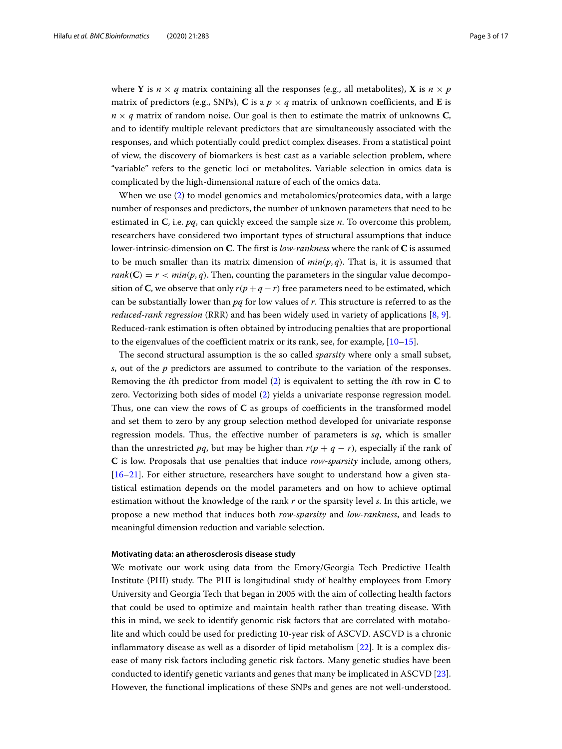where **Y** is  $n \times q$  matrix containing all the responses (e.g., all metabolites), **X** is  $n \times p$ matrix of predictors (e.g., SNPs), **C** is a  $p \times q$  matrix of unknown coefficients, and **E** is  $n \times q$  matrix of random noise. Our goal is then to estimate the matrix of unknowns **C**, and to identify multiple relevant predictors that are simultaneously associated with the responses, and which potentially could predict complex diseases. From a statistical point of view, the discovery of biomarkers is best cast as a variable selection problem, where "variable" refers to the genetic loci or metabolites. Variable selection in omics data is complicated by the high-dimensional nature of each of the omics data.

When we use [\(2\)](#page-1-0) to model genomics and metabolomics/proteomics data, with a large number of responses and predictors, the number of unknown parameters that need to be estimated in **C**, i.e. *pq*, can quickly exceed the sample size *n*. To overcome this problem, researchers have considered two important types of structural assumptions that induce lower-intrinsic-dimension on **C**. The first is *low-rankness* where the rank of **C** is assumed to be much smaller than its matrix dimension of  $min(p, q)$ . That is, it is assumed that  $rank(C) = r < min(p,q)$ . Then, counting the parameters in the singular value decomposition of **C**, we observe that only  $r(p+q-r)$  free parameters need to be estimated, which can be substantially lower than *pq* for low values of *r*. This structure is referred to as the *reduced-rank regression* (RRR) and has been widely used in variety of applications [\[8,](#page-15-6) [9\]](#page-15-7). Reduced-rank estimation is often obtained by introducing penalties that are proportional to the eigenvalues of the coefficient matrix or its rank, see, for example,  $[10-15]$  $[10-15]$ .

The second structural assumption is the so called *sparsity* where only a small subset, *s*, out of the *p* predictors are assumed to contribute to the variation of the responses. Removing the *i*th predictor from model [\(2\)](#page-1-0) is equivalent to setting the *i*th row in **C** to zero. Vectorizing both sides of model [\(2\)](#page-1-0) yields a univariate response regression model. Thus, one can view the rows of **C** as groups of coefficients in the transformed model and set them to zero by any group selection method developed for univariate response regression models. Thus, the effective number of parameters is *sq*, which is smaller than the unrestricted *pq*, but may be higher than  $r(p + q - r)$ , especially if the rank of **C** is low. Proposals that use penalties that induce *row-sparsity* include, among others, [\[16–](#page-15-10)[21\]](#page-15-11). For either structure, researchers have sought to understand how a given statistical estimation depends on the model parameters and on how to achieve optimal estimation without the knowledge of the rank *r* or the sparsity level *s*. In this article, we propose a new method that induces both *row-sparsity* and *low-rankness*, and leads to meaningful dimension reduction and variable selection.

#### **Motivating data: an atherosclerosis disease study**

We motivate our work using data from the Emory/Georgia Tech Predictive Health Institute (PHI) study. The PHI is longitudinal study of healthy employees from Emory University and Georgia Tech that began in 2005 with the aim of collecting health factors that could be used to optimize and maintain health rather than treating disease. With this in mind, we seek to identify genomic risk factors that are correlated with motabolite and which could be used for predicting 10-year risk of ASCVD. ASCVD is a chronic inflammatory disease as well as a disorder of lipid metabolism [\[22\]](#page-15-12). It is a complex disease of many risk factors including genetic risk factors. Many genetic studies have been conducted to identify genetic variants and genes that many be implicated in ASCVD [\[23\]](#page-15-13). However, the functional implications of these SNPs and genes are not well-understood.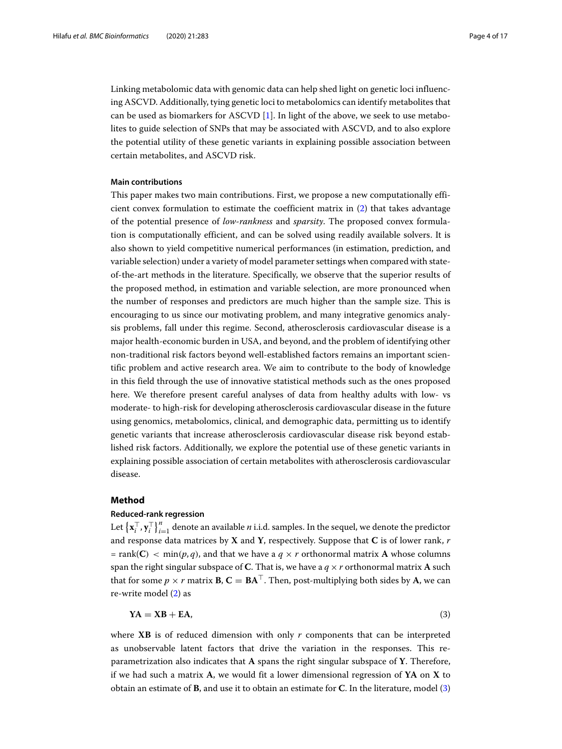Linking metabolomic data with genomic data can help shed light on genetic loci influencing ASCVD. Additionally, tying genetic loci to metabolomics can identify metabolites that can be used as biomarkers for ASCVD [\[1\]](#page-14-0). In light of the above, we seek to use metabolites to guide selection of SNPs that may be associated with ASCVD, and to also explore the potential utility of these genetic variants in explaining possible association between certain metabolites, and ASCVD risk.

## **Main contributions**

This paper makes two main contributions. First, we propose a new computationally efficient convex formulation to estimate the coefficient matrix in [\(2\)](#page-1-0) that takes advantage of the potential presence of *low-rankness* and *sparsity*. The proposed convex formulation is computationally efficient, and can be solved using readily available solvers. It is also shown to yield competitive numerical performances (in estimation, prediction, and variable selection) under a variety of model parameter settings when compared with stateof-the-art methods in the literature. Specifically, we observe that the superior results of the proposed method, in estimation and variable selection, are more pronounced when the number of responses and predictors are much higher than the sample size. This is encouraging to us since our motivating problem, and many integrative genomics analysis problems, fall under this regime. Second, atherosclerosis cardiovascular disease is a major health-economic burden in USA, and beyond, and the problem of identifying other non-traditional risk factors beyond well-established factors remains an important scientific problem and active research area. We aim to contribute to the body of knowledge in this field through the use of innovative statistical methods such as the ones proposed here. We therefore present careful analyses of data from healthy adults with low- vs moderate- to high-risk for developing atherosclerosis cardiovascular disease in the future using genomics, metabolomics, clinical, and demographic data, permitting us to identify genetic variants that increase atherosclerosis cardiovascular disease risk beyond established risk factors. Additionally, we explore the potential use of these genetic variants in explaining possible association of certain metabolites with atherosclerosis cardiovascular disease.

## **Method**

## **Reduced-rank regression**

Let  $\left\{\mathbf{x}_i^\top, \mathbf{y}_i^\top\right\}_{i=1}^n$  denote an available *n* i.i.d. samples. In the sequel, we denote the predictor and response data matrices by **X** and **Y**, respectively. Suppose that **C** is of lower rank, *r*  $=$  rank(**C**)  $\lt$  min(*p*, *q*), and that we have a *q*  $\times$  *r* orthonormal matrix **A** whose columns span the right singular subspace of **C**. That is, we have a  $q \times r$  orthonormal matrix **A** such that for some  $p \times r$  matrix **B**,  $C = BA^{\top}$ . Then, post-multiplying both sides by A, we can re-write model [\(2\)](#page-1-0) as

<span id="page-3-0"></span>
$$
YA = XB + EA,\tag{3}
$$

where **XB** is of reduced dimension with only *r* components that can be interpreted as unobservable latent factors that drive the variation in the responses. This reparametrization also indicates that **A** spans the right singular subspace of **Y**. Therefore, if we had such a matrix **A**, we would fit a lower dimensional regression of **YA** on **X** to obtain an estimate of **B**, and use it to obtain an estimate for **C**. In the literature, model [\(3\)](#page-3-0)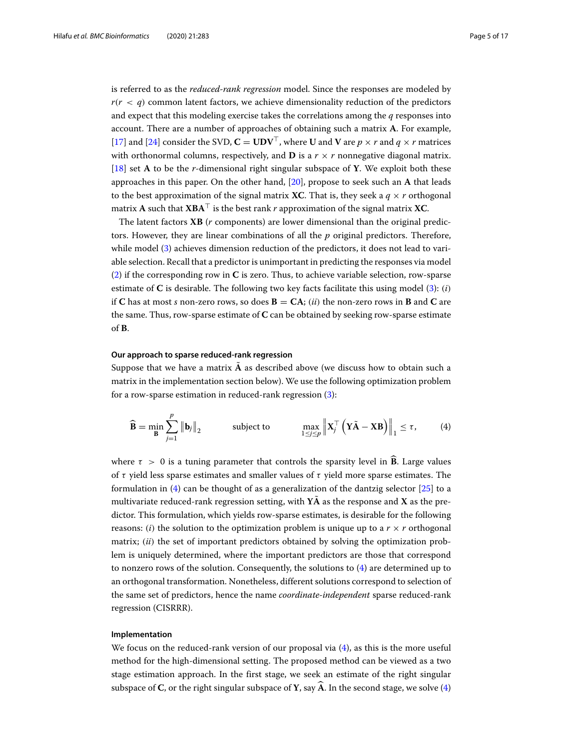is referred to as the *reduced-rank regression* model. Since the responses are modeled by  $r(r < q)$  common latent factors, we achieve dimensionality reduction of the predictors and expect that this modeling exercise takes the correlations among the *q* responses into account. There are a number of approaches of obtaining such a matrix **A**. For example, [\[17\]](#page-15-14) and [\[24\]](#page-15-15) consider the SVD,  $C = UDV^{\top}$ , where U and V are  $p \times r$  and  $q \times r$  matrices with orthonormal columns, respectively, and **D** is a  $r \times r$  nonnegative diagonal matrix. [\[18\]](#page-15-16) set **A** to be the *r*-dimensional right singular subspace of **Y**. We exploit both these approaches in this paper. On the other hand, [\[20\]](#page-15-17), propose to seek such an **A** that leads to the best approximation of the signal matrix **XC**. That is, they seek a  $q \times r$  orthogonal matrix **A** such that **XBA**- is the best rank *r* approximation of the signal matrix **XC**.

The latent factors **XB** (*r* components) are lower dimensional than the original predictors. However, they are linear combinations of all the *p* original predictors. Therefore, while model [\(3\)](#page-3-0) achieves dimension reduction of the predictors, it does not lead to variable selection. Recall that a predictor is unimportant in predicting the responses via model [\(2\)](#page-1-0) if the corresponding row in **C** is zero. Thus, to achieve variable selection, row-sparse estimate of **C** is desirable. The following two key facts facilitate this using model [\(3\)](#page-3-0): (*i*) if **C** has at most *s* non-zero rows, so does  $\mathbf{B} = \mathbf{C}\mathbf{A}$ ; (*ii*) the non-zero rows in **B** and **C** are the same. Thus, row-sparse estimate of **C** can be obtained by seeking row-sparse estimate of **B**.

## **Our approach to sparse reduced-rank regression**

Suppose that we have a matrix  $\tilde{A}$  as described above (we discuss how to obtain such a matrix in the implementation section below). We use the following optimization problem for a row-sparse estimation in reduced-rank regression [\(3\)](#page-3-0):

<span id="page-4-0"></span>
$$
\widehat{\mathbf{B}} = \min_{\mathbf{B}} \sum_{j=1}^{p} \|\mathbf{b}_{j}\|_{2} \quad \text{subject to} \quad \max_{1 \leq j \leq p} \left\| \mathbf{X}_{j}^{\top} \left( \mathbf{Y}_{j} \widetilde{\mathbf{A}} - \mathbf{X} \mathbf{B} \right) \right\|_{1} \leq \tau, \quad (4)
$$

where  $\tau > 0$  is a tuning parameter that controls the sparsity level in **B**. Large values of  $\tau$  yield less sparse estimates and smaller values of  $\tau$  yield more sparse estimates. The formulation in [\(4\)](#page-4-0) can be thought of as a generalization of the dantzig selector [\[25\]](#page-15-18) to a multivariate reduced-rank regression setting, with  $YA$  as the response and  $X$  as the predictor. This formulation, which yields row-sparse estimates, is desirable for the following reasons: (*i*) the solution to the optimization problem is unique up to a  $r \times r$  orthogonal matrix; (*ii*) the set of important predictors obtained by solving the optimization problem is uniquely determined, where the important predictors are those that correspond to nonzero rows of the solution. Consequently, the solutions to [\(4\)](#page-4-0) are determined up to an orthogonal transformation. Nonetheless, different solutions correspond to selection of the same set of predictors, hence the name *coordinate-independent* sparse reduced-rank regression (CISRRR).

## **Implementation**

We focus on the reduced-rank version of our proposal via  $(4)$ , as this is the more useful method for the high-dimensional setting. The proposed method can be viewed as a two stage estimation approach. In the first stage, we seek an estimate of the right singular subspace of **C**, or the right singular subspace of **Y**, say  $\widehat{A}$ . In the second stage, we solve [\(4\)](#page-4-0)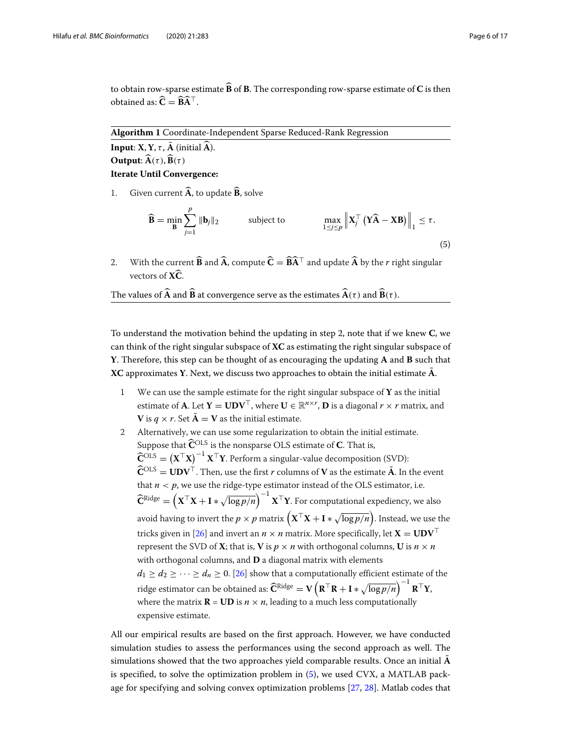to obtain row-sparse estimate **<sup>B</sup>** of **<sup>B</sup>**. The corresponding row-sparse estimate of **<sup>C</sup>** is then obtained as:  $C = BA^{\perp}$ .

**Algorithm 1** Coordinate-Independent Sparse Reduced-Rank Regression

**Input: X**, **Y**,  $\tau$ , **A** (initial  $\widehat{A}$ ). **Output:**  $\widehat{A}(\tau), \widehat{B}(\tau)$ **Iterate Until Convergence:**

1. Given current  $\widehat{A}$ , to update  $\widehat{B}$ , solve

<span id="page-5-0"></span> $B = \min_{B}$  $\sum$ *p j*=1 **b***j*<sup>2</sup> subject to max 1≤*j*≤*p*  $\left\| \mathbf{X}_j^{\top} \left( \mathbf{Y} \widehat{\mathbf{A}} - \mathbf{X} \mathbf{B} \right) \right\|_1 \leq \tau.$ (5)

2. With the current **B** and **A**, compute  $C = BA^{\top}$  and update **A** by the *r* right singular vectors of **<sup>X</sup>C**.

The values of  $\widehat{A}$  and  $\widehat{B}$  at convergence serve as the estimates  $\widehat{A}(\tau)$  and  $\widehat{B}(\tau)$ .

To understand the motivation behind the updating in step 2, note that if we knew **C**, we can think of the right singular subspace of **XC** as estimating the right singular subspace of **Y**. Therefore, this step can be thought of as encouraging the updating **A** and **B** such that **XC** approximates **Y**. Next, we discuss two approaches to obtain the initial estimate  $\tilde{A}$ .

- 1 We can use the sample estimate for the right singular subspace of **Y** as the initial estimate of **A**. Let  $\mathbf{Y} = \mathbf{U}\mathbf{D}\mathbf{V}^{\top}$ , where  $\mathbf{U} \in \mathbb{R}^{n \times r}$ ,  $\mathbf{D}$  is a diagonal  $r \times r$  matrix, and **V** is  $q \times r$ . Set  $\tilde{A} = V$  as the initial estimate.
- 2 Alternatively, we can use some regularization to obtain the initial estimate. Suppose that  $\widehat{\mathbf{C}}^{\mathrm{OLS}}$  is the nonsparse OLS estimate of **C**. That is,  $\widehat{\mathbf{C}}^{\rm OLS} = \left( \mathbf{X}^\top \mathbf{X} \right)^{-1} \mathbf{X}^\top \mathbf{Y}.$  Perform a singular-value decomposition (SVD):  $\widehat{\mathbf{C}}^{\mathrm{OLS}} = \mathbf{U}\mathbf{D}\mathbf{V}^{\top}$ . Then, use the first *r* columns of **V** as the estimate  $\widetilde{\mathbf{A}}$ . In the event that  $n < p$ , we use the ridge-type estimator instead of the OLS estimator, i.e.  $\widehat{\mathbf{C}}^{\text{Ridge}} = \left(\mathbf{X}^{\top} \mathbf{X} + \mathbf{I} * \sqrt{\log p / n}\right)^{-1} \mathbf{X}^{\top} \mathbf{Y}.$  For computational expediency, we also avoid having to invert the  $p\times p$  matrix  $\left(\mathbf{X}^\top\mathbf{X}+\mathbf{I}*\sqrt{\log p/n}\right)$ . Instead, we use the tricks given in [\[26\]](#page-15-19) and invert an  $n \times n$  matrix. More specifically, let  $X = UDV^{\top}$ represent the SVD of **X**; that is, **V** is  $p \times n$  with orthogonal columns, **U** is  $n \times n$ with orthogonal columns, and **D** a diagonal matrix with elements  $d_1 \geq d_2 \geq \cdots \geq d_n \geq 0$ . [\[26\]](#page-15-19) show that a computationally efficient estimate of the  $\text{ridge estimator can be obtained as:} \widehat{\textbf{C}}^{\text{Ridge}} = \textbf{V}\left(\textbf{R}^\top\textbf{R} + \textbf{I}*\sqrt{\log p/n}\right)^{-1}\textbf{R}^\top\textbf{Y},$ where the matrix  $\mathbf{R} = \mathbf{U}\mathbf{D}$  is  $n \times n$ , leading to a much less computationally expensive estimate.

All our empirical results are based on the first approach. However, we have conducted simulation studies to assess the performances using the second approach as well. The simulations showed that the two approaches yield comparable results. Once an initial **A**˜ is specified, to solve the optimization problem in [\(5\)](#page-5-0), we used CVX, a MATLAB package for specifying and solving convex optimization problems [\[27,](#page-15-20) [28\]](#page-15-21). Matlab codes that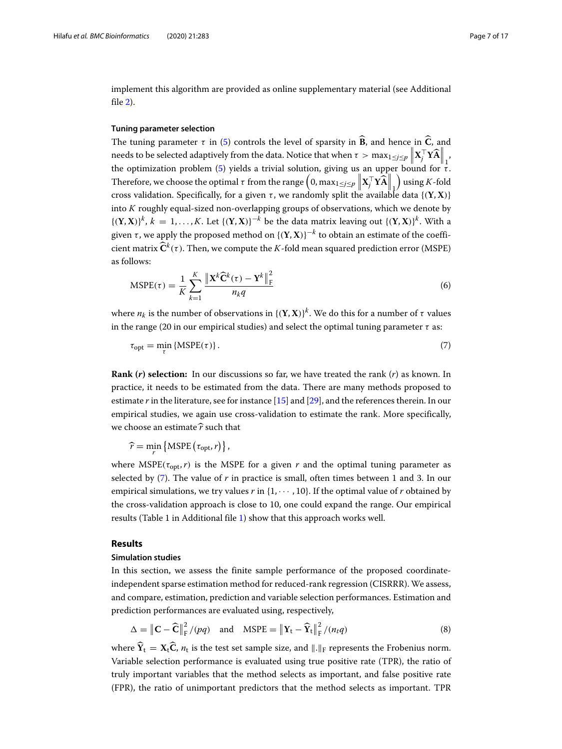implement this algorithm are provided as online supplementary material (see Additional file [2\)](#page-14-1).

## **Tuning parameter selection**

The tuning parameter  $\tau$  in [\(5\)](#page-5-0) controls the level of sparsity in  $\hat{B}$ , and hence in  $\hat{C}$ , and needs to be selected adaptively from the data. Notice that when  $\tau > \max_{1\leq j\leq p}\left\|\mathbf{X}_j^\top\mathbf{Y}\widehat{\mathbf{A}}\right\|_1$ the optimization problem [\(5\)](#page-5-0) yields a trivial solution, giving us an upper bound for  $\tau$ . Therefore, we choose the optimal  $\tau$  from the range  $\left(0, \max_{1 \leq j \leq p} \|\mathbf{X}_j^{\top} \mathbf{Y} \mathbf{\hat{A}}\|_{1}\right)$  using *K*-fold cross validation. Specifically, for a given  $\tau$ , we randomly split the available data  $\{(\mathbf{Y}, \mathbf{X})\}$ into *K* roughly equal-sized non-overlapping groups of observations, which we denote by  $\{(\mathbf{Y}, \mathbf{X})\}^k$ ,  $k = 1, ..., K$ . Let  $\{(\mathbf{Y}, \mathbf{X})\}^{-k}$  be the data matrix leaving out  $\{(\mathbf{Y}, \mathbf{X})\}^k$ . With a given  $\tau$  , we apply the proposed method on  $\{(\mathbf{Y}, \mathbf{X})\}^{-k}$  to obtain an estimate of the coefficient matrix  $\widehat{\mathbf{C}}^k(\tau)$ . Then, we compute the *K*-fold mean squared prediction error (MSPE) as follows:

$$
MSPE(\tau) = \frac{1}{K} \sum_{k=1}^{K} \frac{\left\| \mathbf{X}^k \widehat{\mathbf{C}}^k(\tau) - \mathbf{Y}^k \right\|_{\mathrm{F}}^2}{n_k q} \tag{6}
$$

where  $n_k$  is the number of observations in  $\{(\mathbf{Y}, \mathbf{X})\}^k$ . We do this for a number of  $\tau$  values in the range (20 in our empirical studies) and select the optimal tuning parameter  $\tau$  as:

<span id="page-6-0"></span>
$$
\tau_{\rm opt} = \min_{\tau} \{ \text{MSPE}(\tau) \}. \tag{7}
$$

**Rank (***r***) selection:** In our discussions so far, we have treated the rank (*r*) as known. In practice, it needs to be estimated from the data. There are many methods proposed to estimate *r* in the literature, see for instance [\[15\]](#page-15-9) and [\[29\]](#page-15-22), and the references therein. In our empirical studies, we again use cross-validation to estimate the rank. More specifically, we choose an estimate  $\widehat{r}$  such that

 $\widehat{r} = \min_{r} \{ \text{MSPE} (\tau_{\text{opt}}, r) \},$ 

where  $MSPE(\tau_{opt}, r)$  is the MSPE for a given *r* and the optimal tuning parameter as selected by [\(7\)](#page-6-0). The value of *r* in practice is small, often times between 1 and 3. In our empirical simulations, we try values  $r$  in  $\{1, \dots, 10\}$ . If the optimal value of  $r$  obtained by the cross-validation approach is close to 10, one could expand the range. Our empirical results (Table 1 in Additional file [1\)](#page-14-2) show that this approach works well.

## **Results**

## **Simulation studies**

In this section, we assess the finite sample performance of the proposed coordinateindependent sparse estimation method for reduced-rank regression (CISRRR). We assess, and compare, estimation, prediction and variable selection performances. Estimation and prediction performances are evaluated using, respectively,

<span id="page-6-1"></span>
$$
\Delta = \left\| \mathbf{C} - \widehat{\mathbf{C}} \right\|_{\mathrm{F}}^2 / (pq) \quad \text{and} \quad \mathrm{MSPE} = \left\| \mathbf{Y}_t - \widehat{\mathbf{Y}}_t \right\|_{\mathrm{F}}^2 / (n_t q) \tag{8}
$$

where  $Y_t = X_t C$ ,  $n_t$  is the test set sample size, and  $\|.\|_F$  represents the Frobenius norm. Variable selection performance is evaluated using true positive rate (TPR), the ratio of truly important variables that the method selects as important, and false positive rate (FPR), the ratio of unimportant predictors that the method selects as important. TPR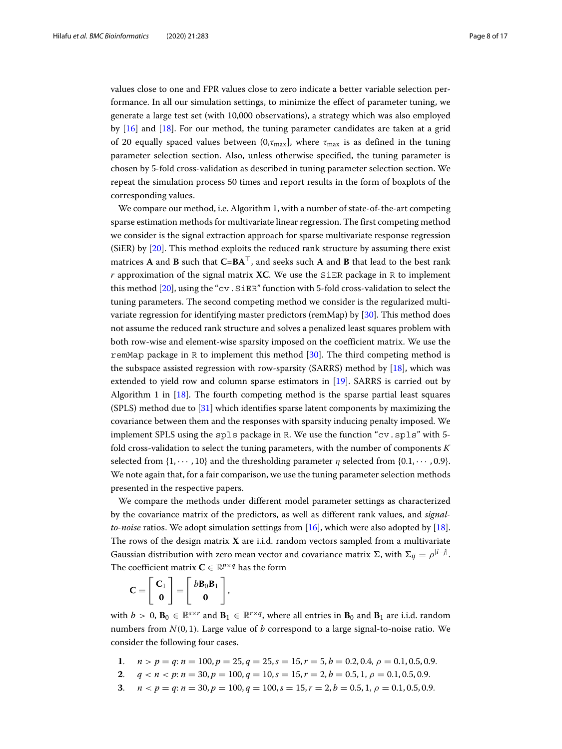values close to one and FPR values close to zero indicate a better variable selection performance. In all our simulation settings, to minimize the effect of parameter tuning, we generate a large test set (with 10,000 observations), a strategy which was also employed by [\[16\]](#page-15-10) and [\[18\]](#page-15-16). For our method, the tuning parameter candidates are taken at a grid of 20 equally spaced values between  $(0, \tau_{\text{max}}]$ , where  $\tau_{\text{max}}$  is as defined in the tuning parameter selection section. Also, unless otherwise specified, the tuning parameter is chosen by 5-fold cross-validation as described in tuning parameter selection section. We repeat the simulation process 50 times and report results in the form of boxplots of the corresponding values.

We compare our method, i.e. Algorithm 1, with a number of state-of-the-art competing sparse estimation methods for multivariate linear regression. The first competing method we consider is the signal extraction approach for sparse multivariate response regression (SiER) by [\[20\]](#page-15-17). This method exploits the reduced rank structure by assuming there exist matrices **A** and **B** such that **C**=**BA**-, and seeks such **A** and **B** that lead to the best rank  $r$  approximation of the signal matrix **XC**. We use the SiER package in R to implement this method [\[20\]](#page-15-17), using the "cv.SiER" function with 5-fold cross-validation to select the tuning parameters. The second competing method we consider is the regularized multivariate regression for identifying master predictors (remMap) by [\[30\]](#page-15-23). This method does not assume the reduced rank structure and solves a penalized least squares problem with both row-wise and element-wise sparsity imposed on the coefficient matrix. We use the remMap package in R to implement this method [\[30\]](#page-15-23). The third competing method is the subspace assisted regression with row-sparsity (SARRS) method by [\[18\]](#page-15-16), which was extended to yield row and column sparse estimators in [\[19\]](#page-15-24). SARRS is carried out by Algorithm 1 in [\[18\]](#page-15-16). The fourth competing method is the sparse partial least squares (SPLS) method due to [\[31\]](#page-15-25) which identifies sparse latent components by maximizing the covariance between them and the responses with sparsity inducing penalty imposed. We implement SPLS using the  $spls$  package in R. We use the function "cv.  $spls$ " with 5fold cross-validation to select the tuning parameters, with the number of components *K* selected from  $\{1, \dots, 10\}$  and the thresholding parameter  $\eta$  selected from  $\{0.1, \dots, 0.9\}$ . We note again that, for a fair comparison, we use the tuning parameter selection methods presented in the respective papers.

We compare the methods under different model parameter settings as characterized by the covariance matrix of the predictors, as well as different rank values, and *signalto-noise* ratios. We adopt simulation settings from [\[16\]](#page-15-10), which were also adopted by [\[18\]](#page-15-16). The rows of the design matrix **X** are i.i.d. random vectors sampled from a multivariate Gaussian distribution with zero mean vector and covariance matrix  $\Sigma$ , with  $\Sigma_{ij} = \rho^{|i-j|}$ . The coefficient matrix  $C \in \mathbb{R}^{p \times q}$  has the form

$$
\mathbf{C} = \left[ \begin{array}{c} \mathbf{C}_1 \\ \mathbf{0} \end{array} \right] = \left[ \begin{array}{c} b\mathbf{B}_0\mathbf{B}_1 \\ \mathbf{0} \end{array} \right],
$$

with  $b > 0$ ,  $\mathbf{B}_0 \in \mathbb{R}^{s \times r}$  and  $\mathbf{B}_1 \in \mathbb{R}^{r \times q}$ , where all entries in  $\mathbf{B}_0$  and  $\mathbf{B}_1$  are i.i.d. random numbers from  $N(0, 1)$ . Large value of *b* correspond to a large signal-to-noise ratio. We consider the following four cases.

- **1**.  $n > p = q$ :  $n = 100, p = 25, q = 25, s = 15, r = 5, b = 0.2, 0.4, \rho = 0.1, 0.5, 0.9$ .
- **2**.  $q < n < p$ :  $n = 30, p = 100, q = 10, s = 15, r = 2, b = 0.5, 1, \rho = 0.1, 0.5, 0.9$ .
- **3**.  $n < p = q$ :  $n = 30, p = 100, q = 100, s = 15, r = 2, b = 0.5, 1, \rho = 0.1, 0.5, 0.9.$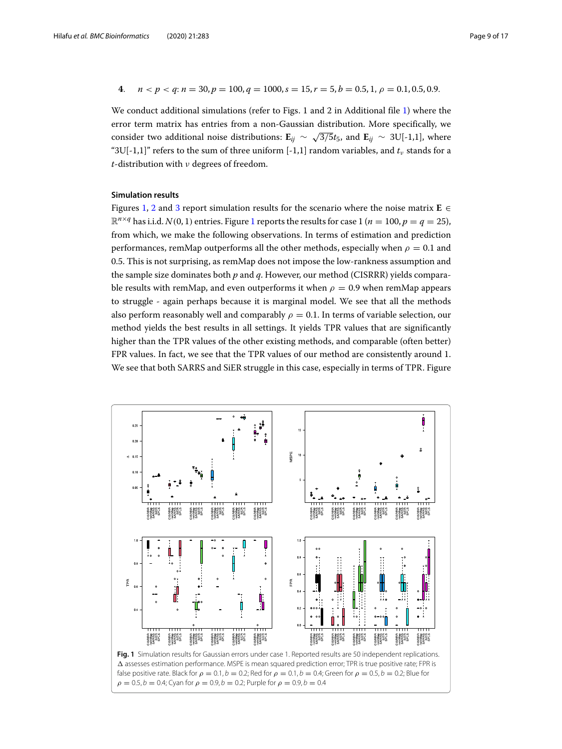4. 
$$
n < p < q
$$
:  $n = 30$ ,  $p = 100$ ,  $q = 1000$ ,  $s = 15$ ,  $r = 5$ ,  $b = 0.5$ ,  $1$ ,  $\rho = 0.1$ ,  $0.5$ ,  $0.9$ .

We conduct additional simulations (refer to Figs. 1 and 2 in Additional file [1\)](#page-14-2) where the error term matrix has entries from a non-Gaussian distribution. More specifically, we consider two additional noise distributions:  $\mathbf{E}_{ij} \sim \sqrt{3/5}t_5$ , and  $\mathbf{E}_{ij} \sim 3U[-1,1]$ , where "3U[-1,1]" refers to the sum of three uniform [-1,1] random variables, and  $t<sub>v</sub>$  stands for a *t*-distribution with ν degrees of freedom.

## **Simulation results**

Figures [1,](#page-8-0) [2](#page-9-0) and [3](#page-10-0) report simulation results for the scenario where the noise matrix  $\mathbf{E} \in \mathbb{R}$  $\mathbb{R}^{n \times q}$  has i.i.d. *N*(0, [1](#page-8-0)) entries. Figure 1 reports the results for case 1 (*n* = 100, *p* = *q* = 25), from which, we make the following observations. In terms of estimation and prediction performances, remMap outperforms all the other methods, especially when  $\rho = 0.1$  and 0.5. This is not surprising, as remMap does not impose the low-rankness assumption and the sample size dominates both *p* and *q*. However, our method (CISRRR) yields comparable results with remMap, and even outperforms it when  $\rho = 0.9$  when remMap appears to struggle - again perhaps because it is marginal model. We see that all the methods also perform reasonably well and comparably  $\rho = 0.1$ . In terms of variable selection, our method yields the best results in all settings. It yields TPR values that are significantly higher than the TPR values of the other existing methods, and comparable (often better) FPR values. In fact, we see that the TPR values of our method are consistently around 1. We see that both SARRS and SiER struggle in this case, especially in terms of TPR. Figure

<span id="page-8-0"></span>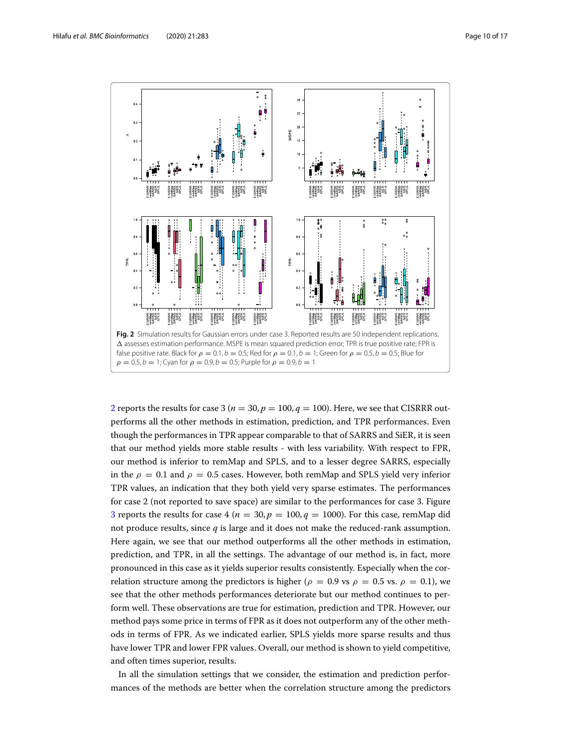

<span id="page-9-0"></span>[2](#page-9-0) reports the results for case 3 ( $n = 30$ ,  $p = 100$ ,  $q = 100$ ). Here, we see that CISRRR outperforms all the other methods in estimation, prediction, and TPR performances. Even though the performances in TPR appear comparable to that of SARRS and SiER, it is seen that our method yields more stable results - with less variability. With respect to FPR, our method is inferior to remMap and SPLS, and to a lesser degree SARRS, especially in the  $\rho = 0.1$  and  $\rho = 0.5$  cases. However, both remMap and SPLS yield very inferior TPR values, an indication that they both yield very sparse estimates. The performances for case 2 (not reported to save space) are similar to the performances for case 3. Figure [3](#page-10-0) reports the results for case 4 ( $n = 30, p = 100, q = 1000$ ). For this case, remMap did not produce results, since *q* is large and it does not make the reduced-rank assumption. Here again, we see that our method outperforms all the other methods in estimation, prediction, and TPR, in all the settings. The advantage of our method is, in fact, more pronounced in this case as it yields superior results consistently. Especially when the correlation structure among the predictors is higher ( $\rho = 0.9$  vs  $\rho = 0.5$  vs.  $\rho = 0.1$ ), we see that the other methods performances deteriorate but our method continues to perform well. These observations are true for estimation, prediction and TPR. However, our method pays some price in terms of FPR as it does not outperform any of the other methods in terms of FPR. As we indicated earlier, SPLS yields more sparse results and thus have lower TPR and lower FPR values. Overall, our method is shown to yield competitive, and often times superior, results.

In all the simulation settings that we consider, the estimation and prediction performances of the methods are better when the correlation structure among the predictors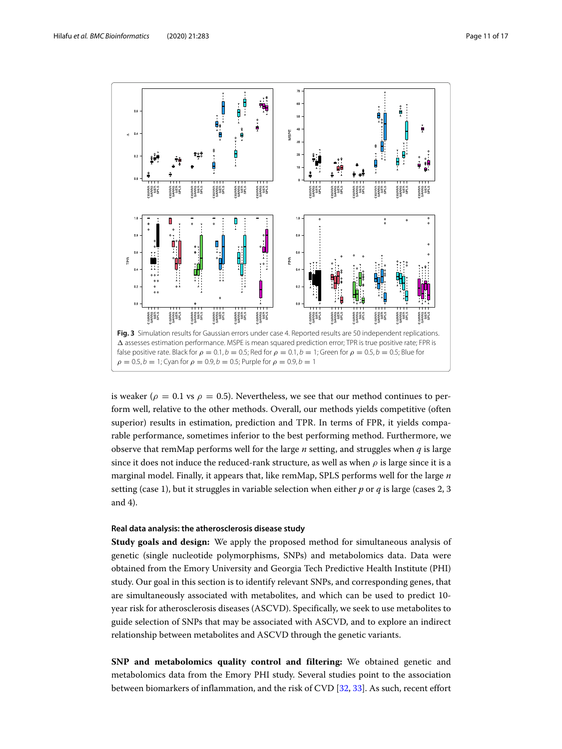

<span id="page-10-0"></span>is weaker ( $\rho = 0.1$  vs  $\rho = 0.5$ ). Nevertheless, we see that our method continues to perform well, relative to the other methods. Overall, our methods yields competitive (often superior) results in estimation, prediction and TPR. In terms of FPR, it yields comparable performance, sometimes inferior to the best performing method. Furthermore, we observe that remMap performs well for the large *n* setting, and struggles when *q* is large since it does not induce the reduced-rank structure, as well as when  $\rho$  is large since it is a marginal model. Finally, it appears that, like remMap, SPLS performs well for the large *n* setting (case 1), but it struggles in variable selection when either *p* or *q* is large (cases 2, 3 and 4).

## **Real data analysis: the atherosclerosis disease study**

**Study goals and design:** We apply the proposed method for simultaneous analysis of genetic (single nucleotide polymorphisms, SNPs) and metabolomics data. Data were obtained from the Emory University and Georgia Tech Predictive Health Institute (PHI) study. Our goal in this section is to identify relevant SNPs, and corresponding genes, that are simultaneously associated with metabolites, and which can be used to predict 10 year risk for atherosclerosis diseases (ASCVD). Specifically, we seek to use metabolites to guide selection of SNPs that may be associated with ASCVD, and to explore an indirect relationship between metabolites and ASCVD through the genetic variants.

**SNP and metabolomics quality control and filtering:** We obtained genetic and metabolomics data from the Emory PHI study. Several studies point to the association between biomarkers of inflammation, and the risk of CVD [\[32,](#page-15-26) [33\]](#page-15-27). As such, recent effort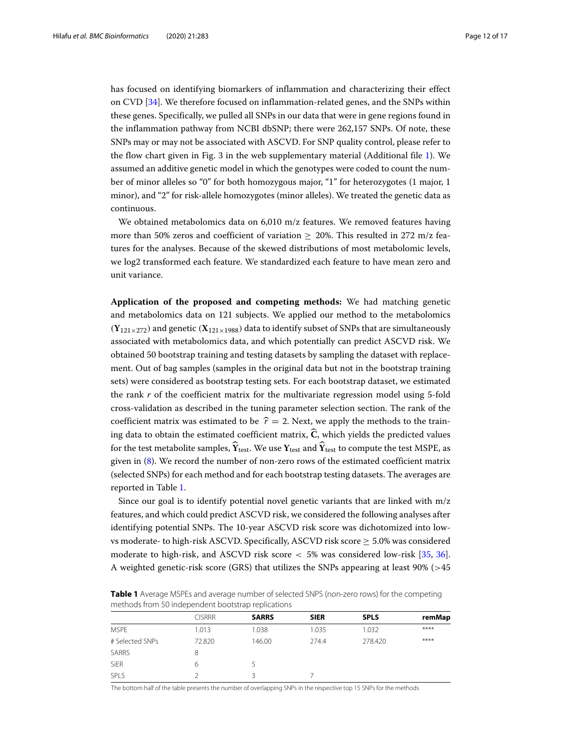has focused on identifying biomarkers of inflammation and characterizing their effect on CVD [\[34\]](#page-15-28). We therefore focused on inflammation-related genes, and the SNPs within these genes. Specifically, we pulled all SNPs in our data that were in gene regions found in the inflammation pathway from NCBI dbSNP; there were 262,157 SNPs. Of note, these SNPs may or may not be associated with ASCVD. For SNP quality control, please refer to the flow chart given in Fig. 3 in the web supplementary material (Additional file [1\)](#page-14-2). We assumed an additive genetic model in which the genotypes were coded to count the number of minor alleles so "0" for both homozygous major, "1" for heterozygotes (1 major, 1 minor), and "2" for risk-allele homozygotes (minor alleles). We treated the genetic data as continuous.

We obtained metabolomics data on 6,010 m/z features. We removed features having more than 50% zeros and coefficient of variation  $> 20\%$ . This resulted in 272 m/z features for the analyses. Because of the skewed distributions of most metabolomic levels, we log2 transformed each feature. We standardized each feature to have mean zero and unit variance.

**Application of the proposed and competing methods:** We had matching genetic and metabolomics data on 121 subjects. We applied our method to the metabolomics  $(Y_{121\times272})$  and genetic  $(X_{121\times1988})$  data to identify subset of SNPs that are simultaneously associated with metabolomics data, and which potentially can predict ASCVD risk. We obtained 50 bootstrap training and testing datasets by sampling the dataset with replacement. Out of bag samples (samples in the original data but not in the bootstrap training sets) were considered as bootstrap testing sets. For each bootstrap dataset, we estimated the rank *r* of the coefficient matrix for the multivariate regression model using 5-fold cross-validation as described in the tuning parameter selection section. The rank of the coefficient matrix was estimated to be  $\hat{r} = 2$ . Next, we apply the methods to the training data to obtain the estimated coefficient matrix,  $\hat{C}$ , which yields the predicted values for the test metabolite samples,  $\hat{Y}_{test}$ . We use  $Y_{test}$  and  $\hat{Y}_{test}$  to compute the test MSPE, as given in [\(8\)](#page-6-1). We record the number of non-zero rows of the estimated coefficient matrix (selected SNPs) for each method and for each bootstrap testing datasets. The averages are reported in Table [1.](#page-11-0)

Since our goal is to identify potential novel genetic variants that are linked with m/z features, and which could predict ASCVD risk, we considered the following analyses after identifying potential SNPs. The 10-year ASCVD risk score was dichotomized into lowvs moderate- to high-risk ASCVD. Specifically, ASCVD risk score  $\geq 5.0\%$  was considered moderate to high-risk, and ASCVD risk score  $<$  5% was considered low-risk [\[35,](#page-16-0) [36\]](#page-16-1). A weighted genetic-risk score (GRS) that utilizes the SNPs appearing at least 90% (>45

<span id="page-11-0"></span>

| Table 1 Average MSPEs and average number of selected SNPS (non-zero rows) for the competing |  |
|---------------------------------------------------------------------------------------------|--|
| methods from 50 independent bootstrap replications                                          |  |

|                 | <b>CISRRR</b> | <b>SARRS</b> | <b>SIER</b> | <b>SPLS</b> | remMap |  |
|-----------------|---------------|--------------|-------------|-------------|--------|--|
| <b>MSPE</b>     | 1.013         | 1.038        | 1.035       | 1.032       | ****   |  |
| # Selected SNPs | 72.820        | 146.00       | 274.4       | 278.420     | ****   |  |
| SARRS           | 8             |              |             |             |        |  |
| <b>SiER</b>     | 6             |              |             |             |        |  |
| SPLS            |               | 3            |             |             |        |  |
|                 |               |              |             |             |        |  |

The bottom half of the table presents the number of overlapping SNPs in the respective top 15 SNPs for the methods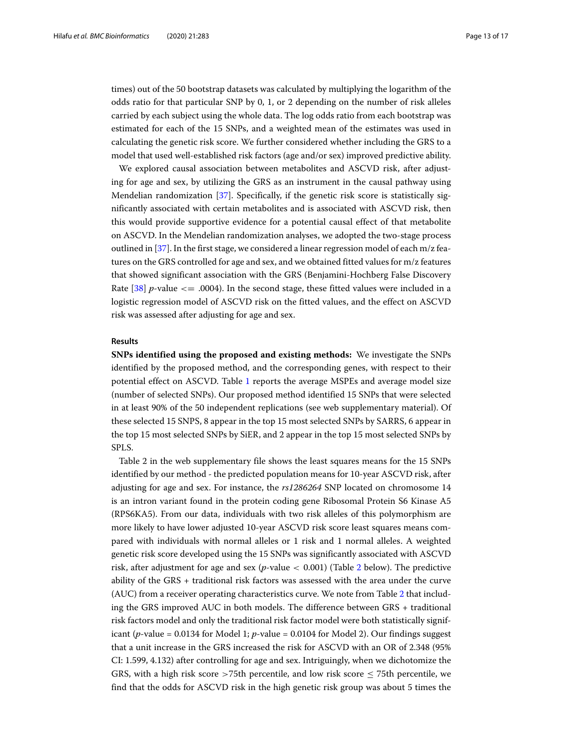times) out of the 50 bootstrap datasets was calculated by multiplying the logarithm of the odds ratio for that particular SNP by 0, 1, or 2 depending on the number of risk alleles carried by each subject using the whole data. The log odds ratio from each bootstrap was estimated for each of the 15 SNPs, and a weighted mean of the estimates was used in calculating the genetic risk score. We further considered whether including the GRS to a model that used well-established risk factors (age and/or sex) improved predictive ability.

We explored causal association between metabolites and ASCVD risk, after adjusting for age and sex, by utilizing the GRS as an instrument in the causal pathway using Mendelian randomization [\[37\]](#page-16-2). Specifically, if the genetic risk score is statistically significantly associated with certain metabolites and is associated with ASCVD risk, then this would provide supportive evidence for a potential causal effect of that metabolite on ASCVD. In the Mendelian randomization analyses, we adopted the two-stage process outlined in [\[37\]](#page-16-2). In the first stage, we considered a linear regression model of each m/z features on the GRS controlled for age and sex, and we obtained fitted values for m/z features that showed significant association with the GRS (Benjamini-Hochberg False Discovery Rate  $\left[38\right]$  *p*-value  $\leq$  .0004). In the second stage, these fitted values were included in a logistic regression model of ASCVD risk on the fitted values, and the effect on ASCVD risk was assessed after adjusting for age and sex.

## **Results**

**SNPs identified using the proposed and existing methods:** We investigate the SNPs identified by the proposed method, and the corresponding genes, with respect to their potential effect on ASCVD. Table [1](#page-11-0) reports the average MSPEs and average model size (number of selected SNPs). Our proposed method identified 15 SNPs that were selected in at least 90% of the 50 independent replications (see web supplementary material). Of these selected 15 SNPS, 8 appear in the top 15 most selected SNPs by SARRS, 6 appear in the top 15 most selected SNPs by SiER, and 2 appear in the top 15 most selected SNPs by SPLS.

Table 2 in the web supplementary file shows the least squares means for the 15 SNPs identified by our method - the predicted population means for 10-year ASCVD risk, after adjusting for age and sex. For instance, the *rs1286264* SNP located on chromosome 14 is an intron variant found in the protein coding gene Ribosomal Protein S6 Kinase A5 (RPS6KA5). From our data, individuals with two risk alleles of this polymorphism are more likely to have lower adjusted 10-year ASCVD risk score least squares means compared with individuals with normal alleles or 1 risk and 1 normal alleles. A weighted genetic risk score developed using the 15 SNPs was significantly associated with ASCVD risk, after adjustment for age and sex (*p*-value < 0.001) (Table [2](#page-13-0) below). The predictive ability of the GRS + traditional risk factors was assessed with the area under the curve (AUC) from a receiver operating characteristics curve. We note from Table [2](#page-13-0) that including the GRS improved AUC in both models. The difference between GRS + traditional risk factors model and only the traditional risk factor model were both statistically significant (*p*-value = 0.0134 for Model 1; *p*-value = 0.0104 for Model 2). Our findings suggest that a unit increase in the GRS increased the risk for ASCVD with an OR of 2.348 (95% CI: 1.599, 4.132) after controlling for age and sex. Intriguingly, when we dichotomize the GRS, with a high risk score >75th percentile, and low risk score  $\leq$  75th percentile, we find that the odds for ASCVD risk in the high genetic risk group was about 5 times the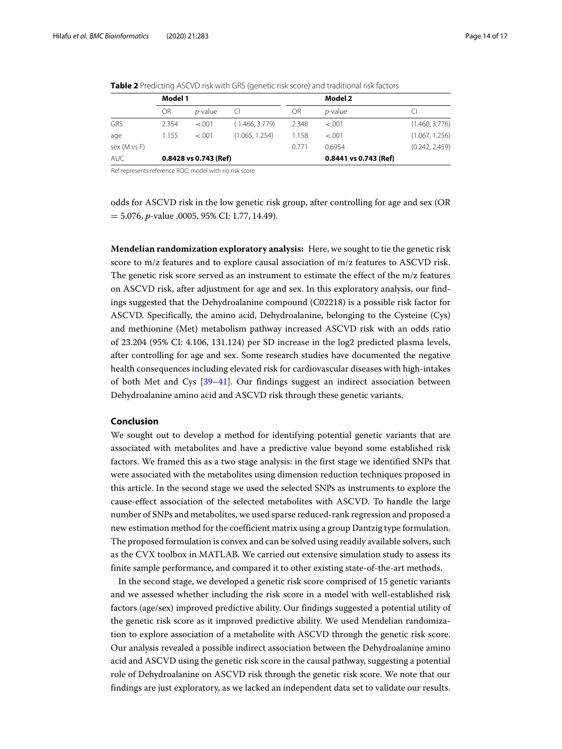|              | Model 1               |                 |                |       | Model 2               |                |
|--------------|-----------------------|-----------------|----------------|-------|-----------------------|----------------|
|              | OR                    | <i>p</i> -value | CI             | OR    | $p$ -value            |                |
| GRS          | 2.354                 | $-.001$         | (1.466, 3.779) | 2.348 | $-.001$               | (1.460, 3.776) |
| age          | 1.155                 | $-.001$         | (1.065, 1.254) | 1.158 | $-.001$               | (1.067, 1.256) |
| sex (M vs F) |                       |                 |                | 0.771 | 0.6954                | (0.242, 2.459) |
| <b>AUC</b>   | 0.8428 vs 0.743 (Ref) |                 |                |       | 0.8441 vs 0.743 (Ref) |                |

<span id="page-13-0"></span>**Table 2** Predicting ASCVD risk with GRS (genetic risk score) and traditional risk factors

Ref represents reference ROC; model with no risk score

odds for ASCVD risk in the low genetic risk group, after controlling for age and sex (OR = 5.076, *p*-value .0005, 95% CI: 1.77, 14.49).

**Mendelian randomization exploratory analysis:** Here, we sought to tie the genetic risk score to m/z features and to explore causal association of m/z features to ASCVD risk. The genetic risk score served as an instrument to estimate the effect of the  $m/z$  features on ASCVD risk, after adjustment for age and sex. In this exploratory analysis, our findings suggested that the Dehydroalanine compound (C02218) is a possible risk factor for ASCVD. Specifically, the amino acid, Dehydroalanine, belonging to the Cysteine (Cys) and methionine (Met) metabolism pathway increased ASCVD risk with an odds ratio of 23.204 (95% CI: 4.106, 131.124) per SD increase in the log2 predicted plasma levels, after controlling for age and sex. Some research studies have documented the negative health consequences including elevated risk for cardiovascular diseases with high-intakes of both Met and Cys [\[39](#page-16-4)[–41\]](#page-16-5). Our findings suggest an indirect association between Dehydroalanine amino acid and ASCVD risk through these genetic variants.

## **Conclusion**

We sought out to develop a method for identifying potential genetic variants that are associated with metabolites and have a predictive value beyond some established risk factors. We framed this as a two stage analysis: in the first stage we identified SNPs that were associated with the metabolites using dimension reduction techniques proposed in this article. In the second stage we used the selected SNPs as instruments to explore the cause-effect association of the selected metabolites with ASCVD. To handle the large number of SNPs and metabolites, we used sparse reduced-rank regression and proposed a new estimation method for the coefficient matrix using a group Dantzig type formulation. The proposed formulation is convex and can be solved using readily available solvers, such as the CVX toolbox in MATLAB. We carried out extensive simulation study to assess its finite sample performance, and compared it to other existing state-of-the-art methods.

In the second stage, we developed a genetic risk score comprised of 15 genetic variants and we assessed whether including the risk score in a model with well-established risk factors (age/sex) improved predictive ability. Our findings suggested a potential utility of the genetic risk score as it improved predictive ability. We used Mendelian randomization to explore association of a metabolite with ASCVD through the genetic risk score. Our analysis revealed a possible indirect association between the Dehydroalanine amino acid and ASCVD using the genetic risk score in the causal pathway, suggesting a potential role of Dehydroalanine on ASCVD risk through the genetic risk score. We note that our findings are just exploratory, as we lacked an independent data set to validate our results.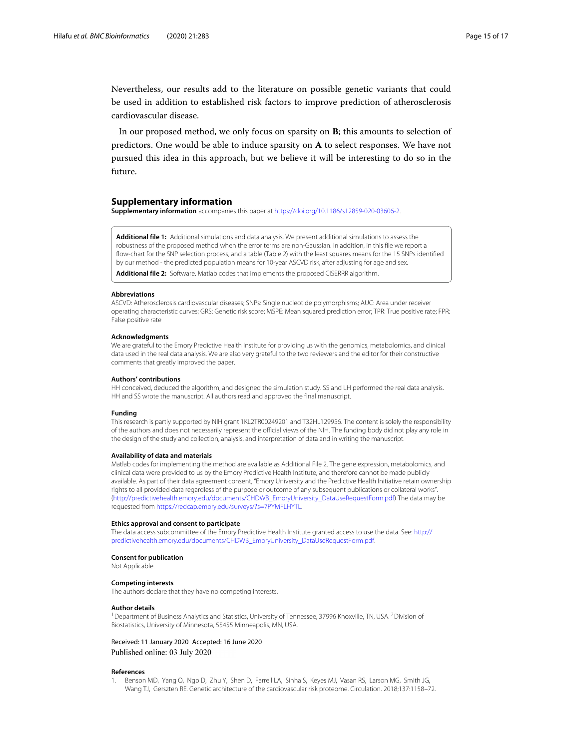Nevertheless, our results add to the literature on possible genetic variants that could be used in addition to established risk factors to improve prediction of atherosclerosis cardiovascular disease.

In our proposed method, we only focus on sparsity on **B**; this amounts to selection of predictors. One would be able to induce sparsity on **A** to select responses. We have not pursued this idea in this approach, but we believe it will be interesting to do so in the future.

## **Supplementary information**

**Supplementary information** accompanies this paper at [https://doi.org/10.1186/s12859-020-03606-2.](https://doi.org/10.1186/s12859-020-03606-2)

<span id="page-14-2"></span>**Additional file 1:** Additional simulations and data analysis. We present additional simulations to assess the robustness of the proposed method when the error terms are non-Gaussian. In addition, in this file we report a flow-chart for the SNP selection process, and a table (Table 2) with the least squares means for the 15 SNPs identified by our method - the predicted population means for 10-year ASCVD risk, after adjusting for age and sex.

<span id="page-14-1"></span>**Additional file 2:** Software. Matlab codes that implements the proposed CISERRR algorithm.

#### **Abbreviations**

ASCVD: Atherosclerosis cardiovascular diseases; SNPs: Single nucleotide polymorphisms; AUC: Area under receiver operating characteristic curves; GRS: Genetic risk score; MSPE: Mean squared prediction error; TPR: True positive rate; FPR: False positive rate

#### **Acknowledgments**

We are grateful to the Emory Predictive Health Institute for providing us with the genomics, metabolomics, and clinical data used in the real data analysis. We are also very grateful to the two reviewers and the editor for their constructive comments that greatly improved the paper.

#### **Authors' contributions**

HH conceived, deduced the algorithm, and designed the simulation study. SS and LH performed the real data analysis. HH and SS wrote the manuscript. All authors read and approved the final manuscript.

#### **Funding**

This research is partly supported by NIH grant 1KL2TR00249201 and T32HL129956. The content is solely the responsibility of the authors and does not necessarily represent the official views of the NIH. The funding body did not play any role in the design of the study and collection, analysis, and interpretation of data and in writing the manuscript.

#### **Availability of data and materials**

Matlab codes for implementing the method are available as Additional File 2. The gene expression, metabolomics, and clinical data were provided to us by the Emory Predictive Health Institute, and therefore cannot be made publicly available. As part of their data agreement consent, "Emory University and the Predictive Health Initiative retain ownership rights to all provided data regardless of the purpose or outcome of any subsequent publications or collateral works". [\(http://predictivehealth.emory.edu/documents/CHDWB\\_EmoryUniversity\\_DataUseRequestForm.pdf\)](http://predictivehealth.emory.edu/documents/CHDWB_EmoryUniversity_DataUseRequestForm.pdf) The data may be requested from [https://redcap.emory.edu/surveys/?s=7PYMFLHYTL.](https://redcap.emory.edu/surveys/?s=7PYMFLHYTL)

#### **Ethics approval and consent to participate**

The data access subcommittee of the Emory Predictive Health Institute granted access to use the data. See: [http://](http://predictivehealth.emory.edu/documents/CHDWB_EmoryUniversity_DataUseRequestForm.pdf) [predictivehealth.emory.edu/documents/CHDWB\\_EmoryUniversity\\_DataUseRequestForm.pdf.](http://predictivehealth.emory.edu/documents/CHDWB_EmoryUniversity_DataUseRequestForm.pdf)

## **Consent for publication**

Not Applicable.

## **Competing interests**

The authors declare that they have no competing interests.

#### **Author details**

<sup>1</sup> Department of Business Analytics and Statistics, University of Tennessee, 37996 Knoxville, TN, USA. <sup>2</sup> Division of Biostatistics, University of Minnesota, 55455 Minneapolis, MN, USA.

## Received: 11 January 2020 Accepted: 16 June 2020 Published online: 03 July 2020

#### **References**

<span id="page-14-0"></span>1. Benson MD, Yang Q, Ngo D, Zhu Y, Shen D, Farrell LA, Sinha S, Keyes MJ, Vasan RS, Larson MG, Smith JG, Wang TJ, Gerszten RE. Genetic architecture of the cardiovascular risk proteome. Circulation. 2018;137:1158–72.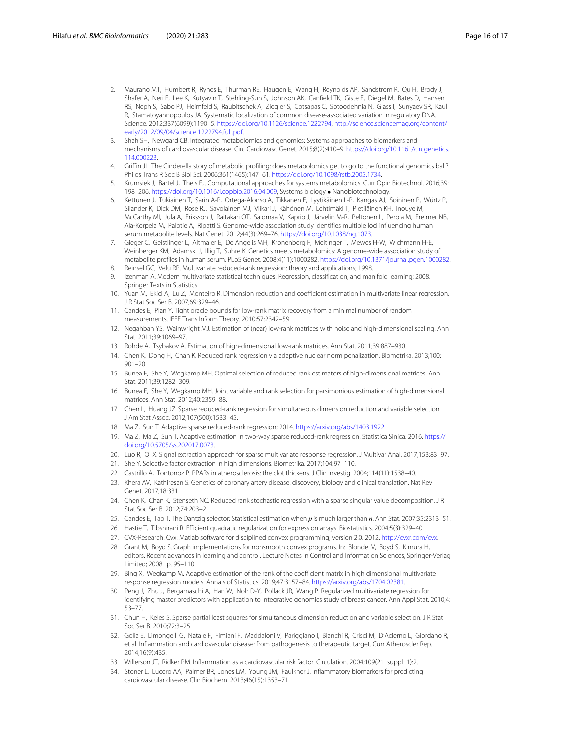- <span id="page-15-0"></span>2. Maurano MT, Humbert R, Rynes E, Thurman RE, Haugen E, Wang H, Reynolds AP, Sandstrom R, Qu H, Brody J, Shafer A, Neri F, Lee K, Kutyavin T, Stehling-Sun S, Johnson AK, Canfield TK, Giste E, Diegel M, Bates D, Hansen RS, Neph S, Sabo PJ, Heimfeld S, Raubitschek A, Ziegler S, Cotsapas C, Sotoodehnia N, Glass I, Sunyaev SR, Kaul R, Stamatoyannopoulos JA. Systematic localization of common disease-associated variation in regulatory DNA. Science. 2012;337(6099):1190–5. [https://doi.org/10.1126/science.1222794,](https://doi.org/10.1126/science.1222794) [http://science.sciencemag.org/content/](http://science.sciencemag.org/content/early/2012/09/04/science.12227 94.full.pdf) [early/2012/09/04/science.1222794.full.pdf.](http://science.sciencemag.org/content/early/2012/09/04/science.12227 94.full.pdf)
- <span id="page-15-1"></span>3. Shah SH, Newgard CB. Integrated metabolomics and genomics: Systems approaches to biomarkers and mechanisms of cardiovascular disease. Circ Cardiovasc Genet. 2015;8(2):410–9. [https://doi.org/10.1161/circgenetics.](https://doi.org/10.1161/circgenetics.114.000223) [114.000223.](https://doi.org/10.1161/circgenetics.114.000223)
- <span id="page-15-2"></span>4. Griffin JL. The Cinderella story of metabolic profiling: does metabolomics get to go to the functional genomics ball? Philos Trans R Soc B Biol Sci. 2006;361(1465):147–61. [https://doi.org/10.1098/rstb.2005.1734.](https://doi.org/10.1098/rstb.2005.1734)
- <span id="page-15-3"></span>5. Krumsiek J, Bartel J, Theis FJ. Computational approaches for systems metabolomics. Curr Opin Biotechnol. 2016;39: 198–206. [https://doi.org/10.1016/j.copbio.2016.04.009,](https://doi.org/10.1016/j.copbio.2016.04.009) Systems biology • Nanobiotechnology.
- <span id="page-15-4"></span>6. Kettunen J, Tukiainen T, Sarin A-P, Ortega-Alonso A, Tikkanen E, Lyytikäinen L-P, Kangas AJ, Soininen P, Würtz P, Silander K, Dick DM, Rose RJ, Savolainen MJ, Viikari J, Kähönen M, Lehtimäki T, Pietiläinen KH, Inouye M, McCarthy MI, Jula A, Eriksson J, Raitakari OT, Salomaa V, Kaprio J, Järvelin M-R, Peltonen L, Perola M, Freimer NB, Ala-Korpela M, Palotie A, Ripatti S. Genome-wide association study identifies multiple loci influencing human serum metabolite levels. Nat Genet. 2012;44(3):269–76. [https://doi.org/10.1038/ng.1073.](https://doi.org/10.1038/ng.1073)
- <span id="page-15-5"></span>7. Gieger C, Geistlinger L, Altmaier E, De Angelis MH, Kronenberg F, Meitinger T, Mewes H-W, Wichmann H-E, Weinberger KM, Adamski J, Illig T, Suhre K. Genetics meets metabolomics: A genome-wide association study of metabolite profiles in human serum. PLoS Genet. 2008;4(11):1000282. [https://doi.org/10.1371/journal.pgen.1000282.](https://doi.org/10.1371/journal.pgen.1000282)
- <span id="page-15-6"></span>8. Reinsel GC, Velu RP. Multivariate reduced-rank regression: theory and applications; 1998.
- <span id="page-15-7"></span>9. Izenman A. Modern multivariate statistical techniques: Regression, classification, and manifold learning; 2008. Springer Texts in Statistics.
- <span id="page-15-8"></span>10. Yuan M, Ekici A, Lu Z, Monteiro R. Dimension reduction and coefficient estimation in multivariate linear regression. J R Stat Soc Ser B. 2007;69:329–46.
- 11. Candes E, Plan Y. Tight oracle bounds for low-rank matrix recovery from a minimal number of random measurements. IEEE Trans Inform Theory. 2010;57:2342–59.
- 12. Negahban YS, Wainwright MJ. Estimation of (near) low-rank matrices with noise and high-dimensional scaling. Ann Stat. 2011;39:1069–97.
- 13. Rohde A, Tsybakov A. Estimation of high-dimensional low-rank matrices. Ann Stat. 2011;39:887–930.
- 14. Chen K, Dong H, Chan K. Reduced rank regression via adaptive nuclear norm penalization. Biometrika. 2013;100: 901–20.
- <span id="page-15-9"></span>15. Bunea F, She Y, Wegkamp MH. Optimal selection of reduced rank estimators of high-dimensional matrices. Ann Stat. 2011;39:1282-309.
- <span id="page-15-10"></span>16. Bunea F, She Y, Wegkamp MH. Joint variable and rank selection for parsimonious estimation of high-dimensional matrices. Ann Stat. 2012;40:2359–88.
- <span id="page-15-14"></span>17. Chen L, Huang JZ. Sparse reduced-rank regression for simultaneous dimension reduction and variable selection. J Am Stat Assoc. 2012;107(500):1533–45.
- <span id="page-15-16"></span>18. Ma Z, Sun T. Adaptive sparse reduced-rank regression; 2014. [https://arxiv.org/abs/1403.1922.](https://arxiv.org/abs/1403.1922)
- <span id="page-15-24"></span>19. Ma Z, Ma Z, Sun T. Adaptive estimation in two-way sparse reduced-rank regression. Statistica Sinica. 2016. [https://](https://doi.org/10.5705/ss.202017.0073) [doi.org/10.5705/ss.202017.0073.](https://doi.org/10.5705/ss.202017.0073)
- <span id="page-15-17"></span>20. Luo R, Qi X. Signal extraction approach for sparse multivariate response regression. J Multivar Anal. 2017;153:83–97.
- <span id="page-15-11"></span>21. She Y. Selective factor extraction in high dimensions. Biometrika. 2017;104:97–110.
- <span id="page-15-12"></span>22. Castrillo A, Tontonoz P. PPARs in atherosclerosis: the clot thickens. J Clin Investig. 2004;114(11):1538–40.
- <span id="page-15-13"></span>23. Khera AV, Kathiresan S. Genetics of coronary artery disease: discovery, biology and clinical translation. Nat Rev Genet. 2017;18:331.
- <span id="page-15-15"></span>24. Chen K, Chan K, Stenseth NC. Reduced rank stochastic regression with a sparse singular value decomposition. J R Stat Soc Ser B. 2012;74:203–21.
- <span id="page-15-18"></span>25. Candes E, Tao T. The Dantzig selector: Statistical estimation when *p* is much larger than *n*. Ann Stat. 2007;35:2313–51.
- <span id="page-15-19"></span>26. Hastie T, Tibshirani R. Efficient quadratic regularization for expression arrays. Biostatistics. 2004;5(3):329–40.
- <span id="page-15-20"></span>27. CVX-Research. Cvx: Matlab software for disciplined convex programming, version 2.0. 2012. [http://cvxr.com/cvx.](http://cvxr.com/cvx)
- <span id="page-15-21"></span>28. Grant M, Boyd S. Graph implementations for nonsmooth convex programs. In: Blondel V, Boyd S, Kimura H, editors. Recent advances in learning and control. Lecture Notes in Control and Information Sciences, Springer-Verlag Limited; 2008. p. 95–110.
- <span id="page-15-22"></span>29. Bing X, Wegkamp M. Adaptive estimation of the rank of the coefficient matrix in high dimensional multivariate response regression models. Annals of Statistics. 2019;47:3157–84. [https://arxiv.org/abs/1704.02381.](https://arxiv.org/abs/1704.02381)
- <span id="page-15-23"></span>30. Peng J, Zhu J, Bergamaschi A, Han W, Noh D-Y, Pollack JR, Wang P. Regularized multivariate regression for identifying master predictors with application to integrative genomics study of breast cancer. Ann Appl Stat. 2010;4: 53–77.
- <span id="page-15-25"></span>31. Chun H, Keles S. Sparse partial least squares for simultaneous dimension reduction and variable selection. J R Stat Soc Ser B. 2010;72:3–25.
- <span id="page-15-26"></span>32. Golia E, Limongelli G, Natale F, Fimiani F, Maddaloni V, Pariggiano I, Bianchi R, Crisci M, D'Acierno L, Giordano R, et al. Inflammation and cardiovascular disease: from pathogenesis to therapeutic target. Curr Atheroscler Rep. 2014;16(9):435.
- <span id="page-15-27"></span>33. Willerson JT, Ridker PM. Inflammation as a cardiovascular risk factor. Circulation. 2004;109(21\_suppl\_1):2.
- <span id="page-15-28"></span>34. Stoner L, Lucero AA, Palmer BR, Jones LM, Young JM, Faulkner J. Inflammatory biomarkers for predicting cardiovascular disease. Clin Biochem. 2013;46(15):1353–71.